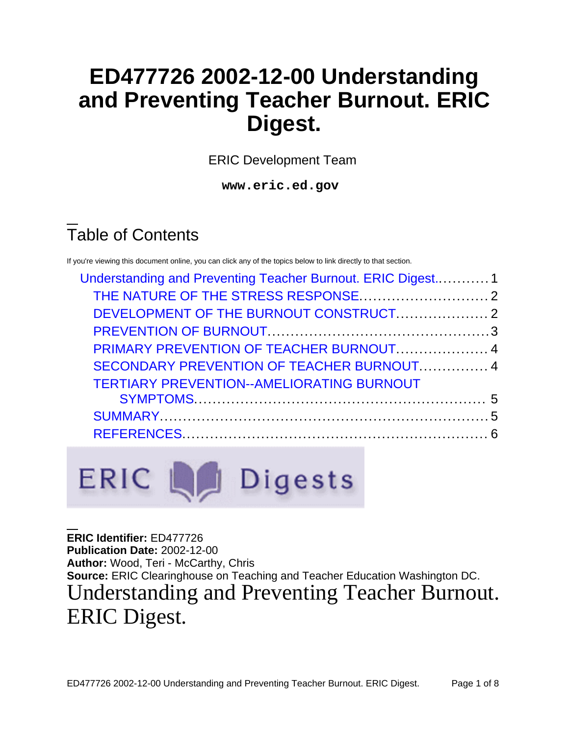# **ED477726 2002-12-00 Understanding and Preventing Teacher Burnout. ERIC Digest.**

ERIC Development Team

**www.eric.ed.gov**

# Table of Contents

If you're viewing this document online, you can click any of the topics below to link directly to that section.

| Understanding and Preventing Teacher Burnout. ERIC Digest 1 |  |                                                  |  |
|-------------------------------------------------------------|--|--------------------------------------------------|--|
| PRIMARY PREVENTION OF TEACHER BURNOUT 4                     |  |                                                  |  |
|                                                             |  | SECONDARY PREVENTION OF TEACHER BURNOUT 4        |  |
|                                                             |  | <b>TERTIARY PREVENTION--AMELIORATING BURNOUT</b> |  |
|                                                             |  |                                                  |  |
|                                                             |  |                                                  |  |
|                                                             |  |                                                  |  |
|                                                             |  |                                                  |  |

ERIC La Digests

<span id="page-0-0"></span>**ERIC Identifier:** ED477726 **Publication Date:** 2002-12-00 **Author:** Wood, Teri - McCarthy, Chris **Source:** ERIC Clearinghouse on Teaching and Teacher Education Washington DC. Understanding and Preventing Teacher Burnout. ERIC Digest.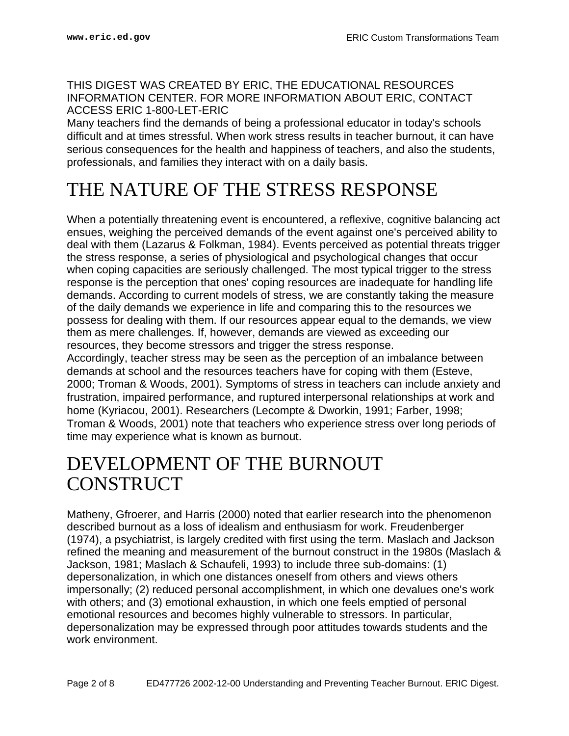#### THIS DIGEST WAS CREATED BY ERIC, THE EDUCATIONAL RESOURCES INFORMATION CENTER. FOR MORE INFORMATION ABOUT ERIC, CONTACT ACCESS ERIC 1-800-LET-ERIC

Many teachers find the demands of being a professional educator in today's schools difficult and at times stressful. When work stress results in teacher burnout, it can have serious consequences for the health and happiness of teachers, and also the students, professionals, and families they interact with on a daily basis.

## <span id="page-1-0"></span>THE NATURE OF THE STRESS RESPONSE

When a potentially threatening event is encountered, a reflexive, cognitive balancing act ensues, weighing the perceived demands of the event against one's perceived ability to deal with them (Lazarus & Folkman, 1984). Events perceived as potential threats trigger the stress response, a series of physiological and psychological changes that occur when coping capacities are seriously challenged. The most typical trigger to the stress response is the perception that ones' coping resources are inadequate for handling life demands. According to current models of stress, we are constantly taking the measure of the daily demands we experience in life and comparing this to the resources we possess for dealing with them. If our resources appear equal to the demands, we view them as mere challenges. If, however, demands are viewed as exceeding our resources, they become stressors and trigger the stress response.

Accordingly, teacher stress may be seen as the perception of an imbalance between demands at school and the resources teachers have for coping with them (Esteve, 2000; Troman & Woods, 2001). Symptoms of stress in teachers can include anxiety and frustration, impaired performance, and ruptured interpersonal relationships at work and home (Kyriacou, 2001). Researchers (Lecompte & Dworkin, 1991; Farber, 1998; Troman & Woods, 2001) note that teachers who experience stress over long periods of time may experience what is known as burnout.

#### <span id="page-1-1"></span>DEVELOPMENT OF THE BURNOUT **CONSTRUCT**

Matheny, Gfroerer, and Harris (2000) noted that earlier research into the phenomenon described burnout as a loss of idealism and enthusiasm for work. Freudenberger (1974), a psychiatrist, is largely credited with first using the term. Maslach and Jackson refined the meaning and measurement of the burnout construct in the 1980s (Maslach & Jackson, 1981; Maslach & Schaufeli, 1993) to include three sub-domains: (1) depersonalization, in which one distances oneself from others and views others impersonally; (2) reduced personal accomplishment, in which one devalues one's work with others; and (3) emotional exhaustion, in which one feels emptied of personal emotional resources and becomes highly vulnerable to stressors. In particular, depersonalization may be expressed through poor attitudes towards students and the work environment.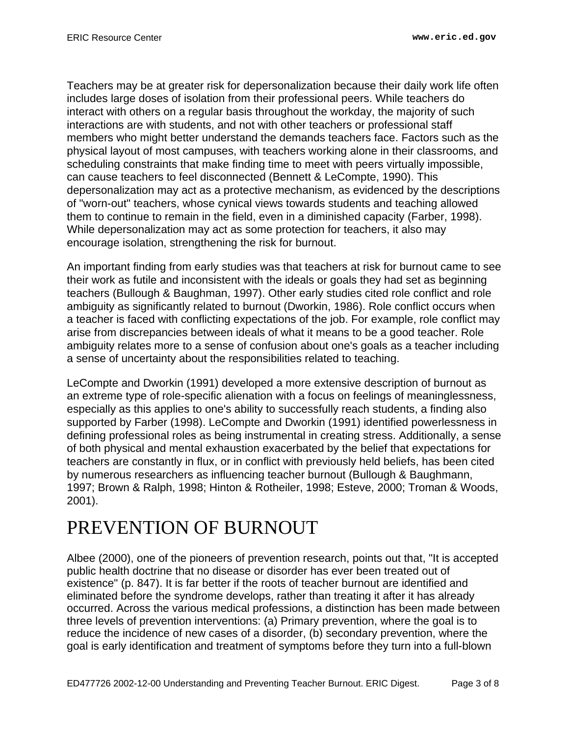Teachers may be at greater risk for depersonalization because their daily work life often includes large doses of isolation from their professional peers. While teachers do interact with others on a regular basis throughout the workday, the majority of such interactions are with students, and not with other teachers or professional staff members who might better understand the demands teachers face. Factors such as the physical layout of most campuses, with teachers working alone in their classrooms, and scheduling constraints that make finding time to meet with peers virtually impossible, can cause teachers to feel disconnected (Bennett & LeCompte, 1990). This depersonalization may act as a protective mechanism, as evidenced by the descriptions of "worn-out" teachers, whose cynical views towards students and teaching allowed them to continue to remain in the field, even in a diminished capacity (Farber, 1998). While depersonalization may act as some protection for teachers, it also may encourage isolation, strengthening the risk for burnout.

An important finding from early studies was that teachers at risk for burnout came to see their work as futile and inconsistent with the ideals or goals they had set as beginning teachers (Bullough & Baughman, 1997). Other early studies cited role conflict and role ambiguity as significantly related to burnout (Dworkin, 1986). Role conflict occurs when a teacher is faced with conflicting expectations of the job. For example, role conflict may arise from discrepancies between ideals of what it means to be a good teacher. Role ambiguity relates more to a sense of confusion about one's goals as a teacher including a sense of uncertainty about the responsibilities related to teaching.

LeCompte and Dworkin (1991) developed a more extensive description of burnout as an extreme type of role-specific alienation with a focus on feelings of meaninglessness, especially as this applies to one's ability to successfully reach students, a finding also supported by Farber (1998). LeCompte and Dworkin (1991) identified powerlessness in defining professional roles as being instrumental in creating stress. Additionally, a sense of both physical and mental exhaustion exacerbated by the belief that expectations for teachers are constantly in flux, or in conflict with previously held beliefs, has been cited by numerous researchers as influencing teacher burnout (Bullough & Baughmann, 1997; Brown & Ralph, 1998; Hinton & Rotheiler, 1998; Esteve, 2000; Troman & Woods, 2001).

# <span id="page-2-0"></span>PREVENTION OF BURNOUT

Albee (2000), one of the pioneers of prevention research, points out that, "It is accepted public health doctrine that no disease or disorder has ever been treated out of existence" (p. 847). It is far better if the roots of teacher burnout are identified and eliminated before the syndrome develops, rather than treating it after it has already occurred. Across the various medical professions, a distinction has been made between three levels of prevention interventions: (a) Primary prevention, where the goal is to reduce the incidence of new cases of a disorder, (b) secondary prevention, where the goal is early identification and treatment of symptoms before they turn into a full-blown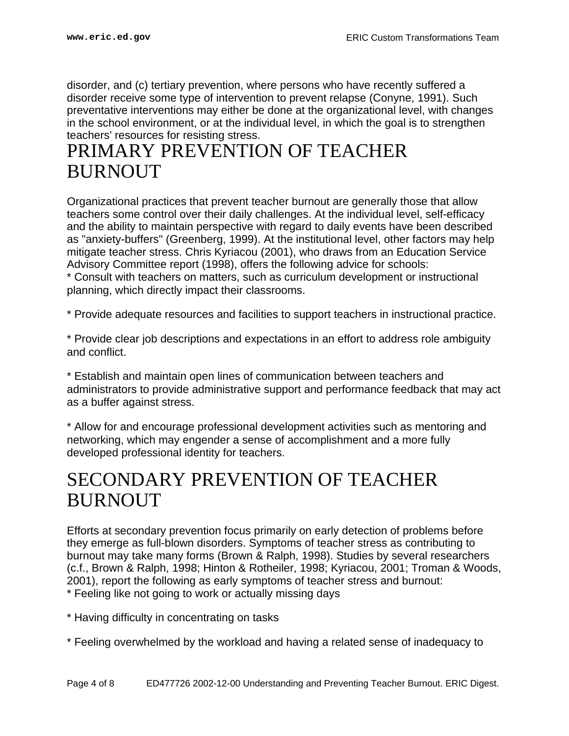disorder, and (c) tertiary prevention, where persons who have recently suffered a disorder receive some type of intervention to prevent relapse (Conyne, 1991). Such preventative interventions may either be done at the organizational level, with changes in the school environment, or at the individual level, in which the goal is to strengthen teachers' resources for resisting stress.

### <span id="page-3-0"></span>PRIMARY PREVENTION OF TEACHER BURNOUT

Organizational practices that prevent teacher burnout are generally those that allow teachers some control over their daily challenges. At the individual level, self-efficacy and the ability to maintain perspective with regard to daily events have been described as "anxiety-buffers" (Greenberg, 1999). At the institutional level, other factors may help mitigate teacher stress. Chris Kyriacou (2001), who draws from an Education Service Advisory Committee report (1998), offers the following advice for schools:

\* Consult with teachers on matters, such as curriculum development or instructional planning, which directly impact their classrooms.

\* Provide adequate resources and facilities to support teachers in instructional practice.

\* Provide clear job descriptions and expectations in an effort to address role ambiguity and conflict.

\* Establish and maintain open lines of communication between teachers and administrators to provide administrative support and performance feedback that may act as a buffer against stress.

\* Allow for and encourage professional development activities such as mentoring and networking, which may engender a sense of accomplishment and a more fully developed professional identity for teachers.

#### <span id="page-3-1"></span>SECONDARY PREVENTION OF TEACHER BURNOUT

Efforts at secondary prevention focus primarily on early detection of problems before they emerge as full-blown disorders. Symptoms of teacher stress as contributing to burnout may take many forms (Brown & Ralph, 1998). Studies by several researchers (c.f., Brown & Ralph, 1998; Hinton & Rotheiler, 1998; Kyriacou, 2001; Troman & Woods, 2001), report the following as early symptoms of teacher stress and burnout: \* Feeling like not going to work or actually missing days

- \* Having difficulty in concentrating on tasks
- \* Feeling overwhelmed by the workload and having a related sense of inadequacy to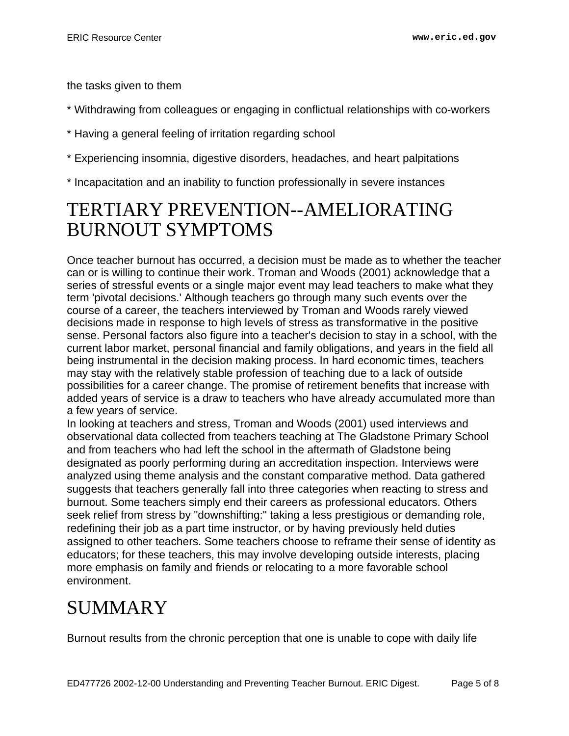the tasks given to them

- \* Withdrawing from colleagues or engaging in conflictual relationships with co-workers
- \* Having a general feeling of irritation regarding school
- \* Experiencing insomnia, digestive disorders, headaches, and heart palpitations
- \* Incapacitation and an inability to function professionally in severe instances

#### <span id="page-4-0"></span>TERTIARY PREVENTION--AMELIORATING BURNOUT SYMPTOMS

Once teacher burnout has occurred, a decision must be made as to whether the teacher can or is willing to continue their work. Troman and Woods (2001) acknowledge that a series of stressful events or a single major event may lead teachers to make what they term 'pivotal decisions.' Although teachers go through many such events over the course of a career, the teachers interviewed by Troman and Woods rarely viewed decisions made in response to high levels of stress as transformative in the positive sense. Personal factors also figure into a teacher's decision to stay in a school, with the current labor market, personal financial and family obligations, and years in the field all being instrumental in the decision making process. In hard economic times, teachers may stay with the relatively stable profession of teaching due to a lack of outside possibilities for a career change. The promise of retirement benefits that increase with added years of service is a draw to teachers who have already accumulated more than a few years of service.

In looking at teachers and stress, Troman and Woods (2001) used interviews and observational data collected from teachers teaching at The Gladstone Primary School and from teachers who had left the school in the aftermath of Gladstone being designated as poorly performing during an accreditation inspection. Interviews were analyzed using theme analysis and the constant comparative method. Data gathered suggests that teachers generally fall into three categories when reacting to stress and burnout. Some teachers simply end their careers as professional educators. Others seek relief from stress by "downshifting:" taking a less prestigious or demanding role, redefining their job as a part time instructor, or by having previously held duties assigned to other teachers. Some teachers choose to reframe their sense of identity as educators; for these teachers, this may involve developing outside interests, placing more emphasis on family and friends or relocating to a more favorable school environment.

# <span id="page-4-1"></span>SUMMARY

Burnout results from the chronic perception that one is unable to cope with daily life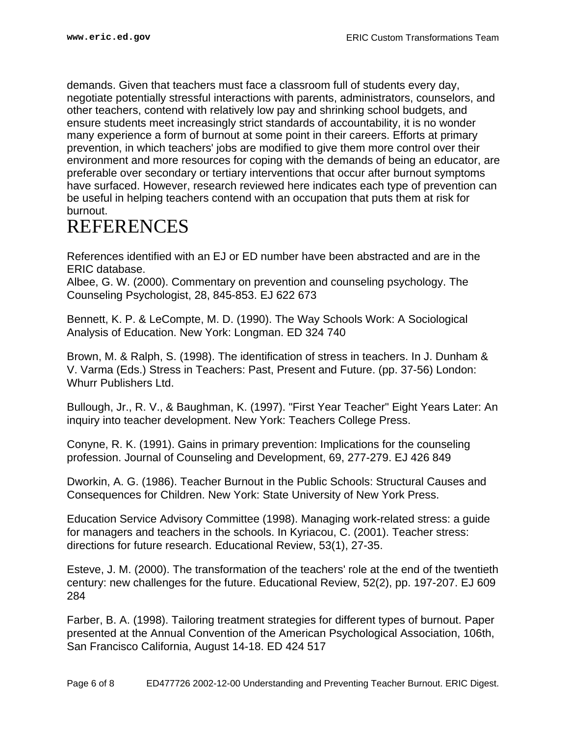demands. Given that teachers must face a classroom full of students every day, negotiate potentially stressful interactions with parents, administrators, counselors, and other teachers, contend with relatively low pay and shrinking school budgets, and ensure students meet increasingly strict standards of accountability, it is no wonder many experience a form of burnout at some point in their careers. Efforts at primary prevention, in which teachers' jobs are modified to give them more control over their environment and more resources for coping with the demands of being an educator, are preferable over secondary or tertiary interventions that occur after burnout symptoms have surfaced. However, research reviewed here indicates each type of prevention can be useful in helping teachers contend with an occupation that puts them at risk for burnout.

#### <span id="page-5-0"></span>REFERENCES

References identified with an EJ or ED number have been abstracted and are in the ERIC database.

Albee, G. W. (2000). Commentary on prevention and counseling psychology. The Counseling Psychologist, 28, 845-853. EJ 622 673

Bennett, K. P. & LeCompte, M. D. (1990). The Way Schools Work: A Sociological Analysis of Education. New York: Longman. ED 324 740

Brown, M. & Ralph, S. (1998). The identification of stress in teachers. In J. Dunham & V. Varma (Eds.) Stress in Teachers: Past, Present and Future. (pp. 37-56) London: Whurr Publishers Ltd.

Bullough, Jr., R. V., & Baughman, K. (1997). "First Year Teacher" Eight Years Later: An inquiry into teacher development. New York: Teachers College Press.

Conyne, R. K. (1991). Gains in primary prevention: Implications for the counseling profession. Journal of Counseling and Development, 69, 277-279. EJ 426 849

Dworkin, A. G. (1986). Teacher Burnout in the Public Schools: Structural Causes and Consequences for Children. New York: State University of New York Press.

Education Service Advisory Committee (1998). Managing work-related stress: a guide for managers and teachers in the schools. In Kyriacou, C. (2001). Teacher stress: directions for future research. Educational Review, 53(1), 27-35.

Esteve, J. M. (2000). The transformation of the teachers' role at the end of the twentieth century: new challenges for the future. Educational Review, 52(2), pp. 197-207. EJ 609 284

Farber, B. A. (1998). Tailoring treatment strategies for different types of burnout. Paper presented at the Annual Convention of the American Psychological Association, 106th, San Francisco California, August 14-18. ED 424 517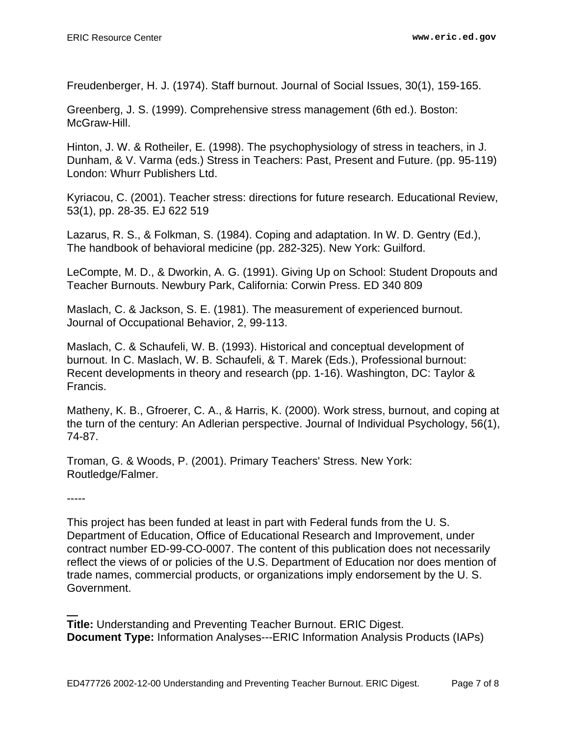Freudenberger, H. J. (1974). Staff burnout. Journal of Social Issues, 30(1), 159-165.

Greenberg, J. S. (1999). Comprehensive stress management (6th ed.). Boston: McGraw-Hill.

Hinton, J. W. & Rotheiler, E. (1998). The psychophysiology of stress in teachers, in J. Dunham, & V. Varma (eds.) Stress in Teachers: Past, Present and Future. (pp. 95-119) London: Whurr Publishers Ltd.

Kyriacou, C. (2001). Teacher stress: directions for future research. Educational Review, 53(1), pp. 28-35. EJ 622 519

Lazarus, R. S., & Folkman, S. (1984). Coping and adaptation. In W. D. Gentry (Ed.), The handbook of behavioral medicine (pp. 282-325). New York: Guilford.

LeCompte, M. D., & Dworkin, A. G. (1991). Giving Up on School: Student Dropouts and Teacher Burnouts. Newbury Park, California: Corwin Press. ED 340 809

Maslach, C. & Jackson, S. E. (1981). The measurement of experienced burnout. Journal of Occupational Behavior, 2, 99-113.

Maslach, C. & Schaufeli, W. B. (1993). Historical and conceptual development of burnout. In C. Maslach, W. B. Schaufeli, & T. Marek (Eds.), Professional burnout: Recent developments in theory and research (pp. 1-16). Washington, DC: Taylor & Francis.

Matheny, K. B., Gfroerer, C. A., & Harris, K. (2000). Work stress, burnout, and coping at the turn of the century: An Adlerian perspective. Journal of Individual Psychology, 56(1), 74-87.

Troman, G. & Woods, P. (2001). Primary Teachers' Stress. New York: Routledge/Falmer.

-----

This project has been funded at least in part with Federal funds from the U. S. Department of Education, Office of Educational Research and Improvement, under contract number ED-99-CO-0007. The content of this publication does not necessarily reflect the views of or policies of the U.S. Department of Education nor does mention of trade names, commercial products, or organizations imply endorsement by the U. S. Government.

**Title:** Understanding and Preventing Teacher Burnout. ERIC Digest. **Document Type:** Information Analyses---ERIC Information Analysis Products (IAPs)